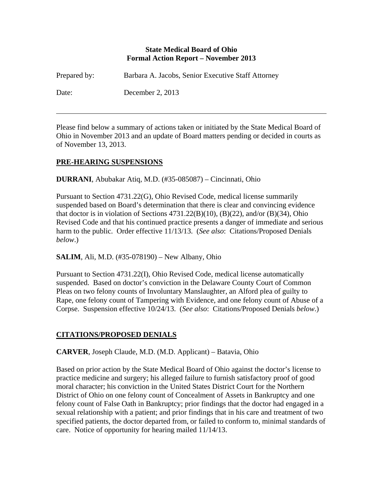### **State Medical Board of Ohio Formal Action Report – November 2013**

| Prepared by: | Barbara A. Jacobs, Senior Executive Staff Attorney |
|--------------|----------------------------------------------------|
| Date:        | December 2, $2013$                                 |

Please find below a summary of actions taken or initiated by the State Medical Board of Ohio in November 2013 and an update of Board matters pending or decided in courts as of November 13, 2013.

# **PRE-HEARING SUSPENSIONS**

 $\overline{a}$ 

**DURRANI**, Abubakar Atiq, M.D. (#35-085087) – Cincinnati, Ohio

Pursuant to Section 4731.22(G), Ohio Revised Code, medical license summarily suspended based on Board's determination that there is clear and convincing evidence that doctor is in violation of Sections  $4731.22(B)(10)$ ,  $(B)(22)$ , and/or  $(B)(34)$ , Ohio Revised Code and that his continued practice presents a danger of immediate and serious harm to the public. Order effective 11/13/13. (*See also*: Citations/Proposed Denials *below*.)

**SALIM**, Ali, M.D. (#35-078190) – New Albany, Ohio

Pursuant to Section 4731.22(I), Ohio Revised Code, medical license automatically suspended. Based on doctor's conviction in the Delaware County Court of Common Pleas on two felony counts of Involuntary Manslaughter, an Alford plea of guilty to Rape, one felony count of Tampering with Evidence, and one felony count of Abuse of a Corpse. Suspension effective 10/24/13. (*See also*: Citations/Proposed Denials *below*.)

# **CITATIONS/PROPOSED DENIALS**

**CARVER**, Joseph Claude, M.D. (M.D. Applicant) – Batavia, Ohio

Based on prior action by the State Medical Board of Ohio against the doctor's license to practice medicine and surgery; his alleged failure to furnish satisfactory proof of good moral character; his conviction in the United States District Court for the Northern District of Ohio on one felony count of Concealment of Assets in Bankruptcy and one felony count of False Oath in Bankruptcy; prior findings that the doctor had engaged in a sexual relationship with a patient; and prior findings that in his care and treatment of two specified patients, the doctor departed from, or failed to conform to, minimal standards of care. Notice of opportunity for hearing mailed 11/14/13.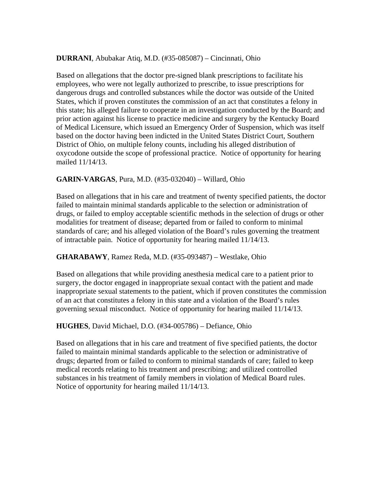## **DURRANI**, Abubakar Atiq, M.D. (#35-085087) – Cincinnati, Ohio

Based on allegations that the doctor pre-signed blank prescriptions to facilitate his employees, who were not legally authorized to prescribe, to issue prescriptions for dangerous drugs and controlled substances while the doctor was outside of the United States, which if proven constitutes the commission of an act that constitutes a felony in this state; his alleged failure to cooperate in an investigation conducted by the Board; and prior action against his license to practice medicine and surgery by the Kentucky Board of Medical Licensure, which issued an Emergency Order of Suspension, which was itself based on the doctor having been indicted in the United States District Court, Southern District of Ohio, on multiple felony counts, including his alleged distribution of oxycodone outside the scope of professional practice. Notice of opportunity for hearing mailed 11/14/13.

### **GARIN-VARGAS**, Pura, M.D. (#35-032040) – Willard, Ohio

Based on allegations that in his care and treatment of twenty specified patients, the doctor failed to maintain minimal standards applicable to the selection or administration of drugs, or failed to employ acceptable scientific methods in the selection of drugs or other modalities for treatment of disease; departed from or failed to conform to minimal standards of care; and his alleged violation of the Board's rules governing the treatment of intractable pain. Notice of opportunity for hearing mailed 11/14/13.

#### **GHARABAWY**, Ramez Reda, M.D. (#35-093487) – Westlake, Ohio

Based on allegations that while providing anesthesia medical care to a patient prior to surgery, the doctor engaged in inappropriate sexual contact with the patient and made inappropriate sexual statements to the patient, which if proven constitutes the commission of an act that constitutes a felony in this state and a violation of the Board's rules governing sexual misconduct. Notice of opportunity for hearing mailed 11/14/13.

#### **HUGHES**, David Michael, D.O. (#34-005786) – Defiance, Ohio

Based on allegations that in his care and treatment of five specified patients, the doctor failed to maintain minimal standards applicable to the selection or administrative of drugs; departed from or failed to conform to minimal standards of care; failed to keep medical records relating to his treatment and prescribing; and utilized controlled substances in his treatment of family members in violation of Medical Board rules. Notice of opportunity for hearing mailed 11/14/13.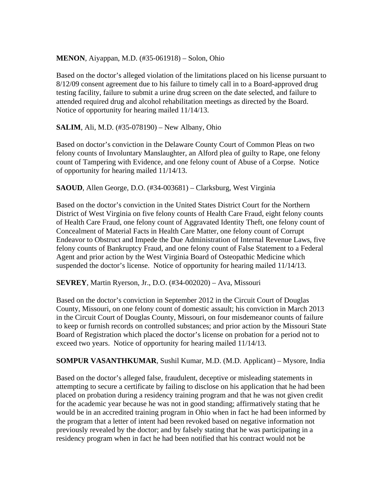## **MENON**, Aiyappan, M.D. (#35-061918) – Solon, Ohio

Based on the doctor's alleged violation of the limitations placed on his license pursuant to 8/12/09 consent agreement due to his failure to timely call in to a Board-approved drug testing facility, failure to submit a urine drug screen on the date selected, and failure to attended required drug and alcohol rehabilitation meetings as directed by the Board. Notice of opportunity for hearing mailed 11/14/13.

## **SALIM**, Ali, M.D. (#35-078190) – New Albany, Ohio

Based on doctor's conviction in the Delaware County Court of Common Pleas on two felony counts of Involuntary Manslaughter, an Alford plea of guilty to Rape, one felony count of Tampering with Evidence, and one felony count of Abuse of a Corpse. Notice of opportunity for hearing mailed 11/14/13.

**SAOUD**, Allen George, D.O. (#34-003681) – Clarksburg, West Virginia

Based on the doctor's conviction in the United States District Court for the Northern District of West Virginia on five felony counts of Health Care Fraud, eight felony counts of Health Care Fraud, one felony count of Aggravated Identity Theft, one felony count of Concealment of Material Facts in Health Care Matter, one felony count of Corrupt Endeavor to Obstruct and Impede the Due Administration of Internal Revenue Laws, five felony counts of Bankruptcy Fraud, and one felony count of False Statement to a Federal Agent and prior action by the West Virginia Board of Osteopathic Medicine which suspended the doctor's license. Notice of opportunity for hearing mailed 11/14/13.

#### **SEVREY**, Martin Ryerson, Jr., D.O. (#34-002020) – Ava, Missouri

Based on the doctor's conviction in September 2012 in the Circuit Court of Douglas County, Missouri, on one felony count of domestic assault; his conviction in March 2013 in the Circuit Court of Douglas County, Missouri, on four misdemeanor counts of failure to keep or furnish records on controlled substances; and prior action by the Missouri State Board of Registration which placed the doctor's license on probation for a period not to exceed two years. Notice of opportunity for hearing mailed 11/14/13.

**SOMPUR VASANTHKUMAR**, Sushil Kumar, M.D. (M.D. Applicant) – Mysore, India

Based on the doctor's alleged false, fraudulent, deceptive or misleading statements in attempting to secure a certificate by failing to disclose on his application that he had been placed on probation during a residency training program and that he was not given credit for the academic year because he was not in good standing; affirmatively stating that he would be in an accredited training program in Ohio when in fact he had been informed by the program that a letter of intent had been revoked based on negative information not previously revealed by the doctor; and by falsely stating that he was participating in a residency program when in fact he had been notified that his contract would not be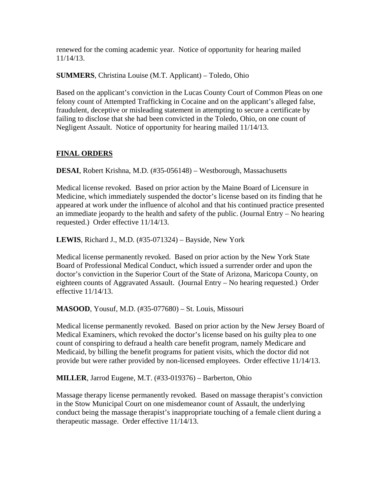renewed for the coming academic year. Notice of opportunity for hearing mailed 11/14/13.

**SUMMERS**, Christina Louise (M.T. Applicant) – Toledo, Ohio

Based on the applicant's conviction in the Lucas County Court of Common Pleas on one felony count of Attempted Trafficking in Cocaine and on the applicant's alleged false, fraudulent, deceptive or misleading statement in attempting to secure a certificate by failing to disclose that she had been convicted in the Toledo, Ohio, on one count of Negligent Assault. Notice of opportunity for hearing mailed 11/14/13.

# **FINAL ORDERS**

**DESAI**, Robert Krishna, M.D. (#35-056148) – Westborough, Massachusetts

Medical license revoked. Based on prior action by the Maine Board of Licensure in Medicine, which immediately suspended the doctor's license based on its finding that he appeared at work under the influence of alcohol and that his continued practice presented an immediate jeopardy to the health and safety of the public. (Journal Entry – No hearing requested.) Order effective 11/14/13.

**LEWIS**, Richard J., M.D. (#35-071324) – Bayside, New York

Medical license permanently revoked. Based on prior action by the New York State Board of Professional Medical Conduct, which issued a surrender order and upon the doctor's conviction in the Superior Court of the State of Arizona, Maricopa County, on eighteen counts of Aggravated Assault. (Journal Entry – No hearing requested.) Order effective 11/14/13.

**MASOOD**, Yousuf, M.D. (#35-077680) – St. Louis, Missouri

Medical license permanently revoked. Based on prior action by the New Jersey Board of Medical Examiners, which revoked the doctor's license based on his guilty plea to one count of conspiring to defraud a health care benefit program, namely Medicare and Medicaid, by billing the benefit programs for patient visits, which the doctor did not provide but were rather provided by non-licensed employees. Order effective 11/14/13.

**MILLER**, Jarrod Eugene, M.T. (#33-019376) – Barberton, Ohio

Massage therapy license permanently revoked. Based on massage therapist's conviction in the Stow Municipal Court on one misdemeanor count of Assault, the underlying conduct being the massage therapist's inappropriate touching of a female client during a therapeutic massage. Order effective 11/14/13.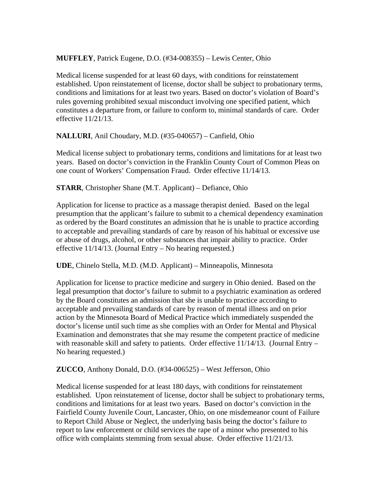**MUFFLEY**, Patrick Eugene, D.O. (#34-008355) – Lewis Center, Ohio

Medical license suspended for at least 60 days, with conditions for reinstatement established. Upon reinstatement of license, doctor shall be subject to probationary terms, conditions and limitations for at least two years. Based on doctor's violation of Board's rules governing prohibited sexual misconduct involving one specified patient, which constitutes a departure from, or failure to conform to, minimal standards of care. Order effective 11/21/13.

**NALLURI**, Anil Choudary, M.D. (#35-040657) – Canfield, Ohio

Medical license subject to probationary terms, conditions and limitations for at least two years. Based on doctor's conviction in the Franklin County Court of Common Pleas on one count of Workers' Compensation Fraud. Order effective 11/14/13.

**STARR**, Christopher Shane (M.T. Applicant) – Defiance, Ohio

Application for license to practice as a massage therapist denied. Based on the legal presumption that the applicant's failure to submit to a chemical dependency examination as ordered by the Board constitutes an admission that he is unable to practice according to acceptable and prevailing standards of care by reason of his habitual or excessive use or abuse of drugs, alcohol, or other substances that impair ability to practice. Order effective 11/14/13. (Journal Entry – No hearing requested.)

**UDE**, Chinelo Stella, M.D. (M.D. Applicant) – Minneapolis, Minnesota

Application for license to practice medicine and surgery in Ohio denied. Based on the legal presumption that doctor's failure to submit to a psychiatric examination as ordered by the Board constitutes an admission that she is unable to practice according to acceptable and prevailing standards of care by reason of mental illness and on prior action by the Minnesota Board of Medical Practice which immediately suspended the doctor's license until such time as she complies with an Order for Mental and Physical Examination and demonstrates that she may resume the competent practice of medicine with reasonable skill and safety to patients. Order effective 11/14/13. (Journal Entry – No hearing requested.)

**ZUCCO**, Anthony Donald, D.O. (#34-006525) – West Jefferson, Ohio

Medical license suspended for at least 180 days, with conditions for reinstatement established. Upon reinstatement of license, doctor shall be subject to probationary terms, conditions and limitations for at least two years. Based on doctor's conviction in the Fairfield County Juvenile Court, Lancaster, Ohio, on one misdemeanor count of Failure to Report Child Abuse or Neglect, the underlying basis being the doctor's failure to report to law enforcement or child services the rape of a minor who presented to his office with complaints stemming from sexual abuse. Order effective 11/21/13.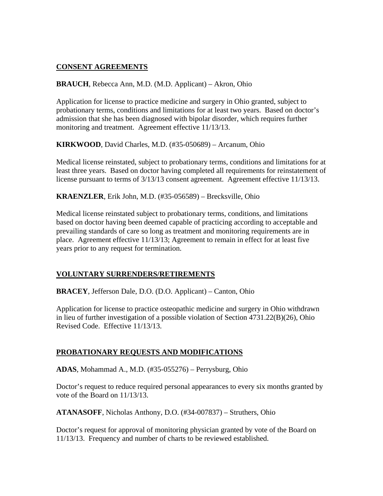# **CONSENT AGREEMENTS**

**BRAUCH**, Rebecca Ann, M.D. (M.D. Applicant) – Akron, Ohio

Application for license to practice medicine and surgery in Ohio granted, subject to probationary terms, conditions and limitations for at least two years. Based on doctor's admission that she has been diagnosed with bipolar disorder, which requires further monitoring and treatment. Agreement effective 11/13/13.

**KIRKWOOD**, David Charles, M.D. (#35-050689) – Arcanum, Ohio

Medical license reinstated, subject to probationary terms, conditions and limitations for at least three years. Based on doctor having completed all requirements for reinstatement of license pursuant to terms of 3/13/13 consent agreement. Agreement effective 11/13/13.

**KRAENZLER**, Erik John, M.D. (#35-056589) – Brecksville, Ohio

Medical license reinstated subject to probationary terms, conditions, and limitations based on doctor having been deemed capable of practicing according to acceptable and prevailing standards of care so long as treatment and monitoring requirements are in place. Agreement effective 11/13/13; Agreement to remain in effect for at least five years prior to any request for termination.

# **VOLUNTARY SURRENDERS/RETIREMENTS**

**BRACEY**, Jefferson Dale, D.O. (D.O. Applicant) – Canton, Ohio

Application for license to practice osteopathic medicine and surgery in Ohio withdrawn in lieu of further investigation of a possible violation of Section 4731.22(B)(26), Ohio Revised Code. Effective 11/13/13.

#### **PROBATIONARY REQUESTS AND MODIFICATIONS**

**ADAS**, Mohammad A., M.D. (#35-055276) – Perrysburg, Ohio

Doctor's request to reduce required personal appearances to every six months granted by vote of the Board on 11/13/13.

**ATANASOFF**, Nicholas Anthony, D.O. (#34-007837) – Struthers, Ohio

Doctor's request for approval of monitoring physician granted by vote of the Board on 11/13/13. Frequency and number of charts to be reviewed established.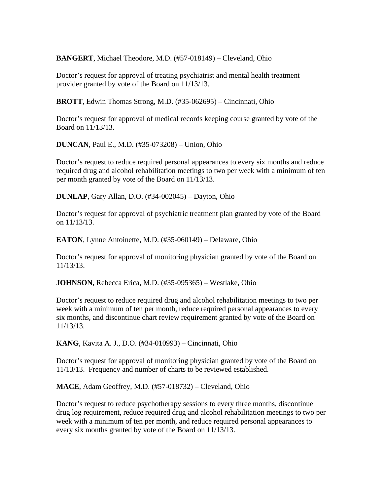**BANGERT**, Michael Theodore, M.D. (#57-018149) – Cleveland, Ohio

Doctor's request for approval of treating psychiatrist and mental health treatment provider granted by vote of the Board on 11/13/13.

**BROTT**, Edwin Thomas Strong, M.D. (#35-062695) – Cincinnati, Ohio

Doctor's request for approval of medical records keeping course granted by vote of the Board on 11/13/13.

**DUNCAN**, Paul E., M.D. (#35-073208) – Union, Ohio

Doctor's request to reduce required personal appearances to every six months and reduce required drug and alcohol rehabilitation meetings to two per week with a minimum of ten per month granted by vote of the Board on 11/13/13.

**DUNLAP**, Gary Allan, D.O. (#34-002045) – Dayton, Ohio

Doctor's request for approval of psychiatric treatment plan granted by vote of the Board on 11/13/13.

**EATON**, Lynne Antoinette, M.D. (#35-060149) – Delaware, Ohio

Doctor's request for approval of monitoring physician granted by vote of the Board on 11/13/13.

**JOHNSON**, Rebecca Erica, M.D. (#35-095365) – Westlake, Ohio

Doctor's request to reduce required drug and alcohol rehabilitation meetings to two per week with a minimum of ten per month, reduce required personal appearances to every six months, and discontinue chart review requirement granted by vote of the Board on 11/13/13.

**KANG**, Kavita A. J., D.O. (#34-010993) – Cincinnati, Ohio

Doctor's request for approval of monitoring physician granted by vote of the Board on 11/13/13. Frequency and number of charts to be reviewed established.

**MACE**, Adam Geoffrey, M.D. (#57-018732) – Cleveland, Ohio

Doctor's request to reduce psychotherapy sessions to every three months, discontinue drug log requirement, reduce required drug and alcohol rehabilitation meetings to two per week with a minimum of ten per month, and reduce required personal appearances to every six months granted by vote of the Board on 11/13/13.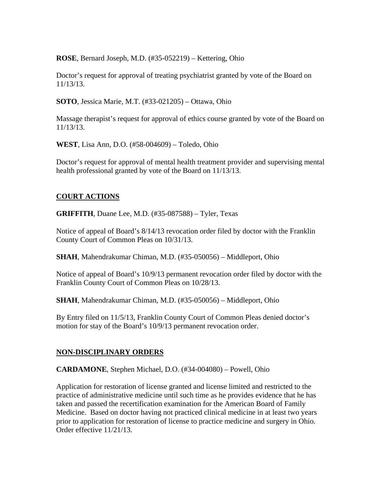**ROSE**, Bernard Joseph, M.D. (#35-052219) – Kettering, Ohio

Doctor's request for approval of treating psychiatrist granted by vote of the Board on 11/13/13.

**SOTO**, Jessica Marie, M.T. (#33-021205) – Ottawa, Ohio

Massage therapist's request for approval of ethics course granted by vote of the Board on 11/13/13.

**WEST**, Lisa Ann, D.O. (#58-004609) – Toledo, Ohio

Doctor's request for approval of mental health treatment provider and supervising mental health professional granted by vote of the Board on 11/13/13.

# **COURT ACTIONS**

**GRIFFITH**, Duane Lee, M.D. (#35-087588) – Tyler, Texas

Notice of appeal of Board's 8/14/13 revocation order filed by doctor with the Franklin County Court of Common Pleas on 10/31/13.

**SHAH**, Mahendrakumar Chiman, M.D. (#35-050056) – Middleport, Ohio

Notice of appeal of Board's 10/9/13 permanent revocation order filed by doctor with the Franklin County Court of Common Pleas on 10/28/13.

**SHAH**, Mahendrakumar Chiman, M.D. (#35-050056) – Middleport, Ohio

By Entry filed on 11/5/13, Franklin County Court of Common Pleas denied doctor's motion for stay of the Board's 10/9/13 permanent revocation order.

# **NON-DISCIPLINARY ORDERS**

**CARDAMONE**, Stephen Michael, D.O. (#34-004080) – Powell, Ohio

Application for restoration of license granted and license limited and restricted to the practice of administrative medicine until such time as he provides evidence that he has taken and passed the recertification examination for the American Board of Family Medicine. Based on doctor having not practiced clinical medicine in at least two years prior to application for restoration of license to practice medicine and surgery in Ohio. Order effective 11/21/13.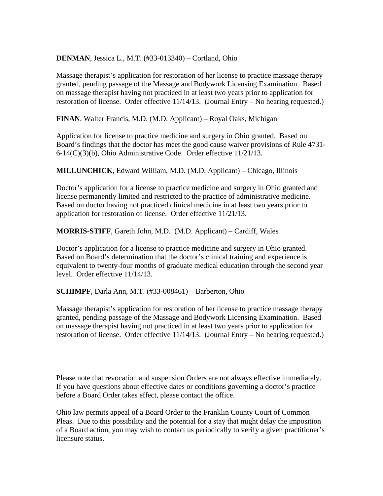**DENMAN**, Jessica L., M.T. (#33-013340) – Cortland, Ohio

Massage therapist's application for restoration of her license to practice massage therapy granted, pending passage of the Massage and Bodywork Licensing Examination. Based on massage therapist having not practiced in at least two years prior to application for restoration of license. Order effective 11/14/13. (Journal Entry – No hearing requested.)

**FINAN**, Walter Francis, M.D. (M.D. Applicant) – Royal Oaks, Michigan

Application for license to practice medicine and surgery in Ohio granted. Based on Board's findings that the doctor has meet the good cause waiver provisions of Rule 4731- 6-14(C)(3)(b), Ohio Administrative Code. Order effective 11/21/13.

**MILLUNCHICK**, Edward William, M.D. (M.D. Applicant) – Chicago, Illinois

Doctor's application for a license to practice medicine and surgery in Ohio granted and license permanently limited and restricted to the practice of administrative medicine. Based on doctor having not practiced clinical medicine in at least two years prior to application for restoration of license. Order effective 11/21/13.

**MORRIS-STIFF**, Gareth John, M.D. (M.D. Applicant) – Cardiff, Wales

Doctor's application for a license to practice medicine and surgery in Ohio granted. Based on Board's determination that the doctor's clinical training and experience is equivalent to twenty-four months of graduate medical education through the second year level. Order effective 11/14/13.

**SCHIMPF**, Darla Ann, M.T. (#33-008461) – Barberton, Ohio

Massage therapist's application for restoration of her license to practice massage therapy granted, pending passage of the Massage and Bodywork Licensing Examination. Based on massage therapist having not practiced in at least two years prior to application for restoration of license. Order effective 11/14/13. (Journal Entry – No hearing requested.)

Please note that revocation and suspension Orders are not always effective immediately. If you have questions about effective dates or conditions governing a doctor's practice before a Board Order takes effect, please contact the office.

Ohio law permits appeal of a Board Order to the Franklin County Court of Common Pleas. Due to this possibility and the potential for a stay that might delay the imposition of a Board action, you may wish to contact us periodically to verify a given practitioner's licensure status.